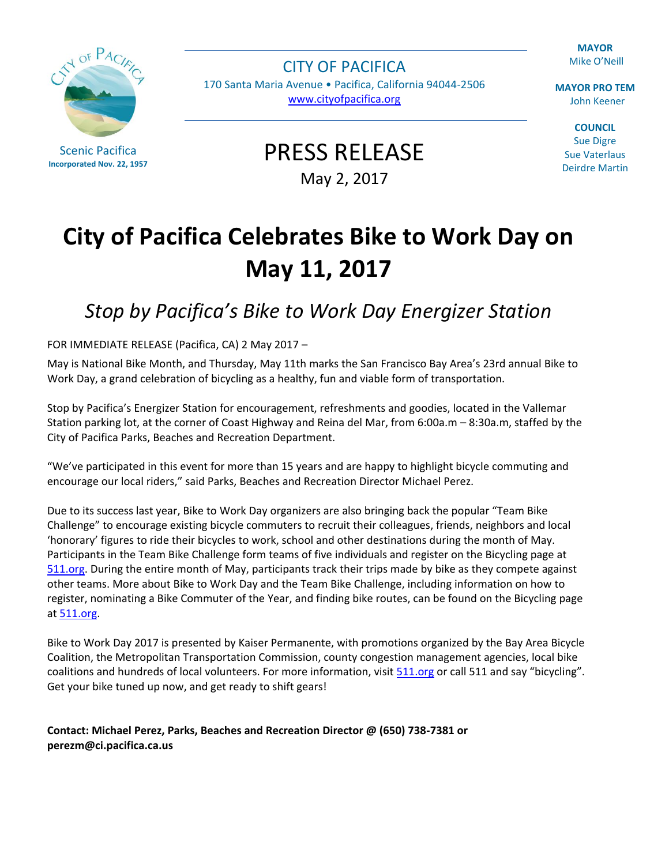$OFPAC$ 

Scenic Pacifica **Incorporated Nov. 22, 1957**

CITY OF PACIFICA 170 Santa Maria Avenue • Pacifica, California 94044-2506 [www.cityofpacifica.org](http://www.cityofpacifica.org/)

**MAYOR** Mike O'Neill

**MAYOR PRO TEM** John Keener

**COUNCIL** Sue Digre Sue Vaterlaus Deirdre Martin

PRESS RELEASE May 2, 2017

## **City of Pacifica Celebrates Bike to Work Day on May 11, 2017**

## *Stop by Pacifica's Bike to Work Day Energizer Station*

## FOR IMMEDIATE RELEASE (Pacifica, CA) 2 May 2017 –

May is National Bike Month, and Thursday, May 11th marks the San Francisco Bay Area's 23rd annual Bike to Work Day, a grand celebration of bicycling as a healthy, fun and viable form of transportation.

Stop by Pacifica's Energizer Station for encouragement, refreshments and goodies, located in the Vallemar Station parking lot, at the corner of Coast Highway and Reina del Mar, from 6:00a.m – 8:30a.m, staffed by the City of Pacifica Parks, Beaches and Recreation Department.

"We've participated in this event for more than 15 years and are happy to highlight bicycle commuting and encourage our local riders," said Parks, Beaches and Recreation Director Michael Perez.

Due to its success last year, Bike to Work Day organizers are also bringing back the popular "Team Bike Challenge" to encourage existing bicycle commuters to recruit their colleagues, friends, neighbors and local 'honorary' figures to ride their bicycles to work, school and other destinations during the month of May. Participants in the Team Bike Challenge form teams of five individuals and register on the Bicycling page at [511.org.](http://www.511.org/) During the entire month of May, participants track their trips made by bike as they compete against other teams. More about Bike to Work Day and the Team Bike Challenge, including information on how to register, nominating a Bike Commuter of the Year, and finding bike routes, can be found on the Bicycling page a[t 511.org.](http://www.511.org/)

Bike to Work Day 2017 is presented by Kaiser Permanente, with promotions organized by the Bay Area Bicycle Coalition, the Metropolitan Transportation Commission, county congestion management agencies, local bike coalitions and hundreds of local volunteers. For more information, visit [511.org](http://www.511.org/) or call 511 and say "bicycling". Get your bike tuned up now, and get ready to shift gears!

**Contact: Michael Perez, Parks, Beaches and Recreation Director @ (650) 738-7381 or [perezm@ci.pacifica.ca.us](mailto:perezm@ci.pacifica.ca.us)**